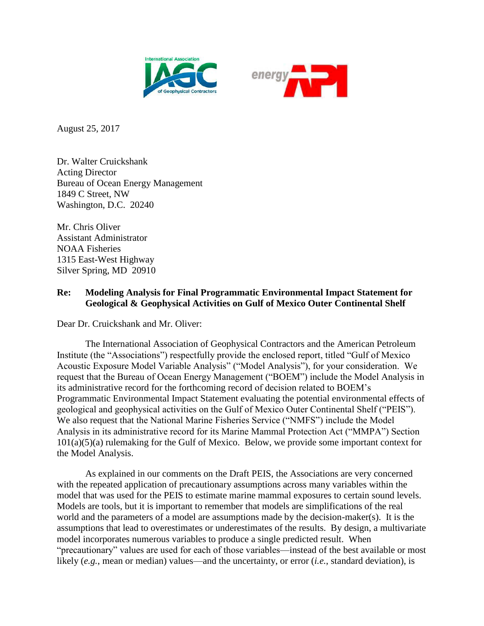



August 25, 2017

Dr. Walter Cruickshank Acting Director Bureau of Ocean Energy Management 1849 C Street, NW Washington, D.C. 20240

Mr. Chris Oliver Assistant Administrator NOAA Fisheries 1315 East-West Highway Silver Spring, MD 20910

## **Re: Modeling Analysis for Final Programmatic Environmental Impact Statement for Geological & Geophysical Activities on Gulf of Mexico Outer Continental Shelf**

Dear Dr. Cruickshank and Mr. Oliver:

The International Association of Geophysical Contractors and the American Petroleum Institute (the "Associations") respectfully provide the enclosed report, titled "Gulf of Mexico Acoustic Exposure Model Variable Analysis" ("Model Analysis"), for your consideration. We request that the Bureau of Ocean Energy Management ("BOEM") include the Model Analysis in its administrative record for the forthcoming record of decision related to BOEM's Programmatic Environmental Impact Statement evaluating the potential environmental effects of geological and geophysical activities on the Gulf of Mexico Outer Continental Shelf ("PEIS"). We also request that the National Marine Fisheries Service ("NMFS") include the Model Analysis in its administrative record for its Marine Mammal Protection Act ("MMPA") Section 101(a)(5)(a) rulemaking for the Gulf of Mexico. Below, we provide some important context for the Model Analysis.

As explained in our comments on the Draft PEIS, the Associations are very concerned with the repeated application of precautionary assumptions across many variables within the model that was used for the PEIS to estimate marine mammal exposures to certain sound levels. Models are tools, but it is important to remember that models are simplifications of the real world and the parameters of a model are assumptions made by the decision-maker(s). It is the assumptions that lead to overestimates or underestimates of the results. By design, a multivariate model incorporates numerous variables to produce a single predicted result. When "precautionary" values are used for each of those variables—instead of the best available or most likely (*e.g.*, mean or median) values—and the uncertainty, or error (*i.e.*, standard deviation), is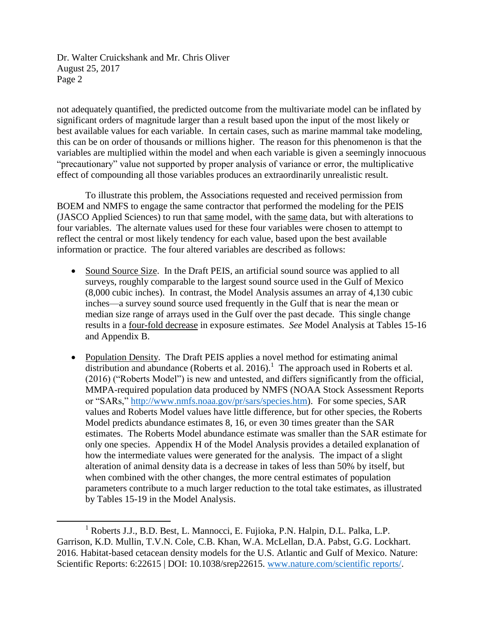not adequately quantified, the predicted outcome from the multivariate model can be inflated by significant orders of magnitude larger than a result based upon the input of the most likely or best available values for each variable. In certain cases, such as marine mammal take modeling, this can be on order of thousands or millions higher. The reason for this phenomenon is that the variables are multiplied within the model and when each variable is given a seemingly innocuous "precautionary" value not supported by proper analysis of variance or error, the multiplicative effect of compounding all those variables produces an extraordinarily unrealistic result.

To illustrate this problem, the Associations requested and received permission from BOEM and NMFS to engage the same contractor that performed the modeling for the PEIS (JASCO Applied Sciences) to run that same model, with the same data, but with alterations to four variables. The alternate values used for these four variables were chosen to attempt to reflect the central or most likely tendency for each value, based upon the best available information or practice. The four altered variables are described as follows:

- Sound Source Size. In the Draft PEIS, an artificial sound source was applied to all surveys, roughly comparable to the largest sound source used in the Gulf of Mexico (8,000 cubic inches). In contrast, the Model Analysis assumes an array of 4,130 cubic inches—a survey sound source used frequently in the Gulf that is near the mean or median size range of arrays used in the Gulf over the past decade. This single change results in a four-fold decrease in exposure estimates. *See* Model Analysis at Tables 15-16 and Appendix B.
- Population Density. The Draft PEIS applies a novel method for estimating animal distribution and abundance (Roberts et al. 2016).<sup>1</sup> The approach used in Roberts et al. (2016) ("Roberts Model") is new and untested, and differs significantly from the official, MMPA-required population data produced by NMFS (NOAA Stock Assessment Reports or "SARs," [http://www.nmfs.noaa.gov/pr/sars/species.htm\)](http://www.nmfs.noaa.gov/pr/sars/species.htm). For some species, SAR values and Roberts Model values have little difference, but for other species, the Roberts Model predicts abundance estimates 8, 16, or even 30 times greater than the SAR estimates. The Roberts Model abundance estimate was smaller than the SAR estimate for only one species. Appendix H of the Model Analysis provides a detailed explanation of how the intermediate values were generated for the analysis. The impact of a slight alteration of animal density data is a decrease in takes of less than 50% by itself, but when combined with the other changes, the more central estimates of population parameters contribute to a much larger reduction to the total take estimates, as illustrated by Tables 15-19 in the Model Analysis.

 $\overline{a}$ <sup>1</sup> Roberts J.J., B.D. Best, L. Mannocci, E. Fujioka, P.N. Halpin, D.L. Palka, L.P. Garrison, K.D. Mullin, T.V.N. Cole, C.B. Khan, W.A. McLellan, D.A. Pabst, G.G. Lockhart. 2016. Habitat-based cetacean density models for the U.S. Atlantic and Gulf of Mexico. Nature: Scientific Reports: 6:22615 | DOI: 10.1038/srep22615. [www.nature.com/scientific reports/.](http://www.nature.com/scientific%20reports/)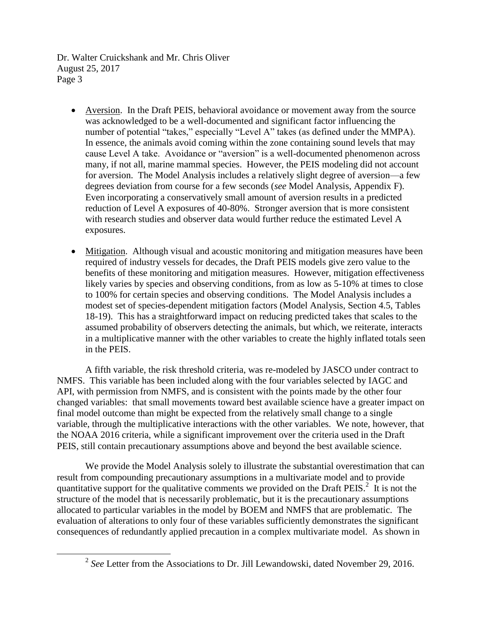$\overline{\phantom{a}}$ 

- Aversion. In the Draft PEIS, behavioral avoidance or movement away from the source was acknowledged to be a well-documented and significant factor influencing the number of potential "takes," especially "Level A" takes (as defined under the MMPA). In essence, the animals avoid coming within the zone containing sound levels that may cause Level A take. Avoidance or "aversion" is a well-documented phenomenon across many, if not all, marine mammal species. However, the PEIS modeling did not account for aversion. The Model Analysis includes a relatively slight degree of aversion—a few degrees deviation from course for a few seconds (*see* Model Analysis, Appendix F). Even incorporating a conservatively small amount of aversion results in a predicted reduction of Level A exposures of 40-80%. Stronger aversion that is more consistent with research studies and observer data would further reduce the estimated Level A exposures.
- Mitigation. Although visual and acoustic monitoring and mitigation measures have been required of industry vessels for decades, the Draft PEIS models give zero value to the benefits of these monitoring and mitigation measures. However, mitigation effectiveness likely varies by species and observing conditions, from as low as 5-10% at times to close to 100% for certain species and observing conditions. The Model Analysis includes a modest set of species-dependent mitigation factors (Model Analysis, Section 4.5, Tables 18-19). This has a straightforward impact on reducing predicted takes that scales to the assumed probability of observers detecting the animals, but which, we reiterate, interacts in a multiplicative manner with the other variables to create the highly inflated totals seen in the PEIS.

A fifth variable, the risk threshold criteria, was re-modeled by JASCO under contract to NMFS. This variable has been included along with the four variables selected by IAGC and API, with permission from NMFS, and is consistent with the points made by the other four changed variables: that small movements toward best available science have a greater impact on final model outcome than might be expected from the relatively small change to a single variable, through the multiplicative interactions with the other variables. We note, however, that the NOAA 2016 criteria, while a significant improvement over the criteria used in the Draft PEIS, still contain precautionary assumptions above and beyond the best available science.

We provide the Model Analysis solely to illustrate the substantial overestimation that can result from compounding precautionary assumptions in a multivariate model and to provide quantitative support for the qualitative comments we provided on the Draft PEIS.<sup>2</sup> It is not the structure of the model that is necessarily problematic, but it is the precautionary assumptions allocated to particular variables in the model by BOEM and NMFS that are problematic. The evaluation of alterations to only four of these variables sufficiently demonstrates the significant consequences of redundantly applied precaution in a complex multivariate model. As shown in

<sup>&</sup>lt;sup>2</sup> See Letter from the Associations to Dr. Jill Lewandowski, dated November 29, 2016.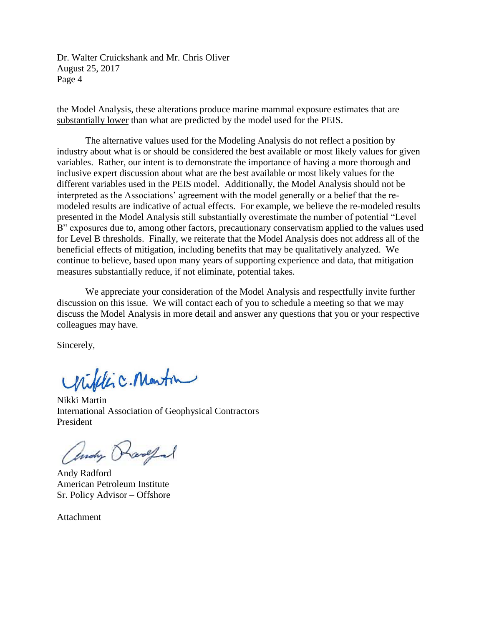the Model Analysis, these alterations produce marine mammal exposure estimates that are substantially lower than what are predicted by the model used for the PEIS.

The alternative values used for the Modeling Analysis do not reflect a position by industry about what is or should be considered the best available or most likely values for given variables. Rather, our intent is to demonstrate the importance of having a more thorough and inclusive expert discussion about what are the best available or most likely values for the different variables used in the PEIS model. Additionally, the Model Analysis should not be interpreted as the Associations' agreement with the model generally or a belief that the remodeled results are indicative of actual effects. For example, we believe the re-modeled results presented in the Model Analysis still substantially overestimate the number of potential "Level B" exposures due to, among other factors, precautionary conservatism applied to the values used for Level B thresholds. Finally, we reiterate that the Model Analysis does not address all of the beneficial effects of mitigation, including benefits that may be qualitatively analyzed. We continue to believe, based upon many years of supporting experience and data, that mitigation measures substantially reduce, if not eliminate, potential takes.

We appreciate your consideration of the Model Analysis and respectfully invite further discussion on this issue. We will contact each of you to schedule a meeting so that we may discuss the Model Analysis in more detail and answer any questions that you or your respective colleagues may have.

Sincerely,

Willic. Martin

Nikki Martin International Association of Geophysical Contractors President

andy Rangel

Andy Radford American Petroleum Institute Sr. Policy Advisor – Offshore

Attachment